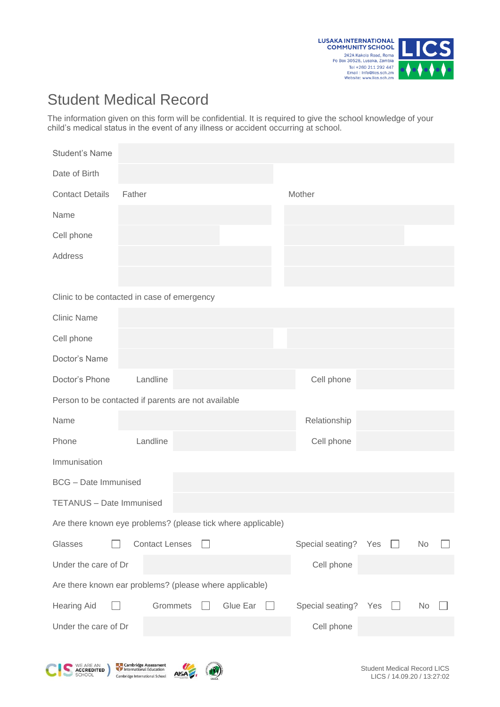

## Student Medical Record

The information given on this form will be confidential. It is required to give the school knowledge of your child's medical status in the event of any illness or accident occurring at school.

| <b>Student's Name</b>                                        |                       |  |          |            |                  |     |  |    |  |
|--------------------------------------------------------------|-----------------------|--|----------|------------|------------------|-----|--|----|--|
| Date of Birth                                                |                       |  |          |            |                  |     |  |    |  |
| <b>Contact Details</b>                                       | Father                |  |          | Mother     |                  |     |  |    |  |
| Name                                                         |                       |  |          |            |                  |     |  |    |  |
| Cell phone                                                   |                       |  |          |            |                  |     |  |    |  |
| Address                                                      |                       |  |          |            |                  |     |  |    |  |
|                                                              |                       |  |          |            |                  |     |  |    |  |
| Clinic to be contacted in case of emergency                  |                       |  |          |            |                  |     |  |    |  |
| <b>Clinic Name</b>                                           |                       |  |          |            |                  |     |  |    |  |
| Cell phone                                                   |                       |  |          |            |                  |     |  |    |  |
| Doctor's Name                                                |                       |  |          |            |                  |     |  |    |  |
| Doctor's Phone                                               | Landline              |  |          |            | Cell phone       |     |  |    |  |
| Person to be contacted if parents are not available          |                       |  |          |            |                  |     |  |    |  |
| Name                                                         |                       |  |          |            | Relationship     |     |  |    |  |
| Phone                                                        | Landline              |  |          |            | Cell phone       |     |  |    |  |
| Immunisation                                                 |                       |  |          |            |                  |     |  |    |  |
| <b>BCG</b> – Date Immunised                                  |                       |  |          |            |                  |     |  |    |  |
| TETANUS - Date Immunised                                     |                       |  |          |            |                  |     |  |    |  |
| Are there known eye problems? (please tick where applicable) |                       |  |          |            |                  |     |  |    |  |
| Glasses                                                      | <b>Contact Lenses</b> |  |          |            | Special seating? | Yes |  | No |  |
| Under the care of Dr                                         |                       |  |          |            | Cell phone       |     |  |    |  |
| Are there known ear problems? (please where applicable)      |                       |  |          |            |                  |     |  |    |  |
| <b>Hearing Aid</b>                                           | Grommets              |  | Glue Ear |            | Special seating? | Yes |  | No |  |
| Under the care of Dr                                         |                       |  |          | Cell phone |                  |     |  |    |  |

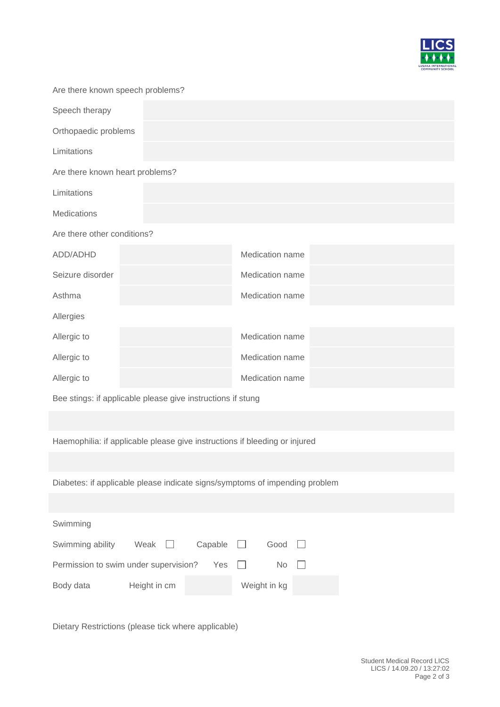

| Are there known speech problems? |  |                 |  |  |  |  |
|----------------------------------|--|-----------------|--|--|--|--|
| Speech therapy                   |  |                 |  |  |  |  |
| Orthopaedic problems             |  |                 |  |  |  |  |
| Limitations                      |  |                 |  |  |  |  |
| Are there known heart problems?  |  |                 |  |  |  |  |
| Limitations                      |  |                 |  |  |  |  |
| <b>Medications</b>               |  |                 |  |  |  |  |
| Are there other conditions?      |  |                 |  |  |  |  |
| ADD/ADHD                         |  | Medication name |  |  |  |  |
| Seizure disorder                 |  | Medication name |  |  |  |  |
| Asthma                           |  | Medication name |  |  |  |  |
| Allergies                        |  |                 |  |  |  |  |
| Allergic to                      |  | Medication name |  |  |  |  |
| Allergic to                      |  | Medication name |  |  |  |  |
| Allergic to                      |  | Medication name |  |  |  |  |
|                                  |  |                 |  |  |  |  |

Bee stings: if applicable please give instructions if stung

Haemophilia: if applicable please give instructions if bleeding or injured

Diabetes: if applicable please indicate signs/symptoms of impending problem

| Swimming                                     |              |         |  |              |        |
|----------------------------------------------|--------------|---------|--|--------------|--------|
| Swimming ability                             | Weak $\Box$  | Capable |  | Good I       |        |
| Permission to swim under supervision?<br>Yes |              |         |  | No.          | $\Box$ |
| Body data                                    | Height in cm |         |  | Weight in kg |        |

Dietary Restrictions (please tick where applicable)